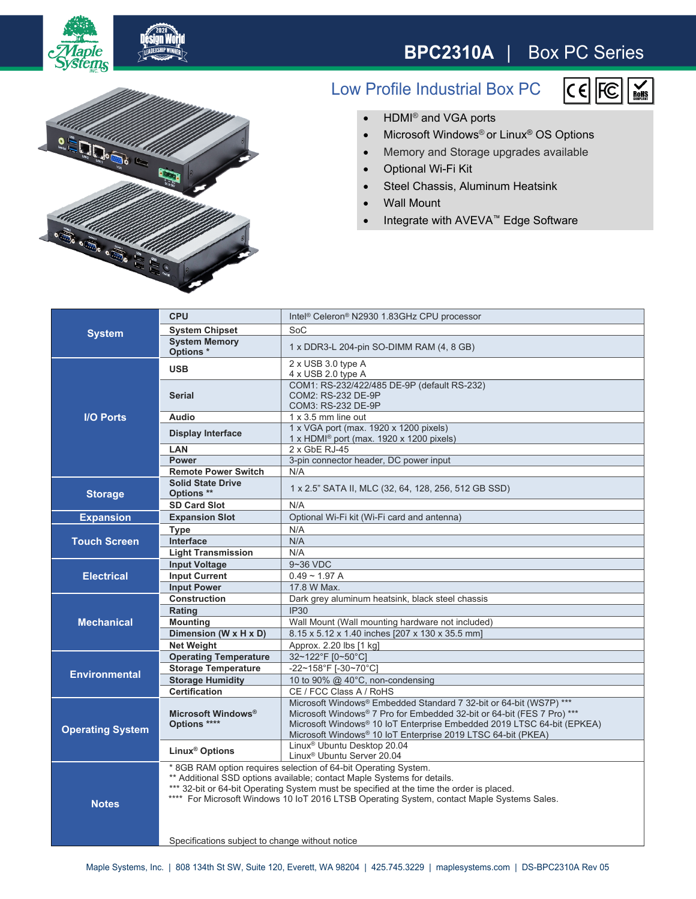

## **BPC2310A** | Box PC Series



## Low Profile Industrial Box PC



- HDMI<sup>®</sup> and VGA ports
- Microsoft Windows<sup>®</sup> or Linux<sup>®</sup> OS Options
- Memory and Storage upgrades available
- Optional Wi-Fi Kit
- Steel Chassis, Aluminum Heatsink
- Wall Mount
- Integrate with AVEVA™ Edge Software

| <b>System</b>           | <b>CPU</b>                                                                                                                                                                                                                                                                                                                           | Intel <sup>®</sup> Celeron <sup>®</sup> N2930 1.83GHz CPU processor                                                                                                                                                                                                                    |
|-------------------------|--------------------------------------------------------------------------------------------------------------------------------------------------------------------------------------------------------------------------------------------------------------------------------------------------------------------------------------|----------------------------------------------------------------------------------------------------------------------------------------------------------------------------------------------------------------------------------------------------------------------------------------|
|                         | <b>System Chipset</b>                                                                                                                                                                                                                                                                                                                | SoC                                                                                                                                                                                                                                                                                    |
|                         | <b>System Memory</b><br>Options <sup>*</sup>                                                                                                                                                                                                                                                                                         | 1 x DDR3-L 204-pin SO-DIMM RAM (4, 8 GB)                                                                                                                                                                                                                                               |
| <b>I/O Ports</b>        | <b>USB</b>                                                                                                                                                                                                                                                                                                                           | $2 \times$ USB 3.0 type A<br>$4 \times$ USB 2.0 type A                                                                                                                                                                                                                                 |
|                         | <b>Serial</b>                                                                                                                                                                                                                                                                                                                        | COM1: RS-232/422/485 DE-9P (default RS-232)<br>COM2: RS-232 DE-9P<br>COM3: RS-232 DE-9P                                                                                                                                                                                                |
|                         | <b>Audio</b>                                                                                                                                                                                                                                                                                                                         | $1 \times 3.5$ mm line out                                                                                                                                                                                                                                                             |
|                         | <b>Display Interface</b>                                                                                                                                                                                                                                                                                                             | 1 x VGA port (max. 1920 x 1200 pixels)<br>1 x HDMI <sup>®</sup> port (max. 1920 x 1200 pixels)                                                                                                                                                                                         |
|                         | <b>LAN</b>                                                                                                                                                                                                                                                                                                                           | 2 x GbE RJ-45                                                                                                                                                                                                                                                                          |
|                         | <b>Power</b>                                                                                                                                                                                                                                                                                                                         | 3-pin connector header, DC power input                                                                                                                                                                                                                                                 |
|                         | <b>Remote Power Switch</b>                                                                                                                                                                                                                                                                                                           | N/A                                                                                                                                                                                                                                                                                    |
| <b>Storage</b>          | <b>Solid State Drive</b><br>Options **                                                                                                                                                                                                                                                                                               | 1 x 2.5" SATA II, MLC (32, 64, 128, 256, 512 GB SSD)                                                                                                                                                                                                                                   |
|                         | <b>SD Card Slot</b>                                                                                                                                                                                                                                                                                                                  | N/A                                                                                                                                                                                                                                                                                    |
| <b>Expansion</b>        | <b>Expansion Slot</b>                                                                                                                                                                                                                                                                                                                | Optional Wi-Fi kit (Wi-Fi card and antenna)                                                                                                                                                                                                                                            |
| <b>Touch Screen</b>     | <b>Type</b>                                                                                                                                                                                                                                                                                                                          | N/A                                                                                                                                                                                                                                                                                    |
|                         | Interface                                                                                                                                                                                                                                                                                                                            | N/A                                                                                                                                                                                                                                                                                    |
|                         | <b>Light Transmission</b>                                                                                                                                                                                                                                                                                                            | N/A                                                                                                                                                                                                                                                                                    |
| <b>Electrical</b>       | <b>Input Voltage</b>                                                                                                                                                                                                                                                                                                                 | 9~36 VDC                                                                                                                                                                                                                                                                               |
|                         | <b>Input Current</b>                                                                                                                                                                                                                                                                                                                 | $0.49 - 1.97 A$                                                                                                                                                                                                                                                                        |
|                         | <b>Input Power</b>                                                                                                                                                                                                                                                                                                                   | 17.8 W Max.                                                                                                                                                                                                                                                                            |
| <b>Mechanical</b>       | <b>Construction</b>                                                                                                                                                                                                                                                                                                                  | Dark grey aluminum heatsink, black steel chassis                                                                                                                                                                                                                                       |
|                         | Rating                                                                                                                                                                                                                                                                                                                               | <b>IP30</b>                                                                                                                                                                                                                                                                            |
|                         | <b>Mounting</b>                                                                                                                                                                                                                                                                                                                      | Wall Mount (Wall mounting hardware not included)                                                                                                                                                                                                                                       |
|                         | Dimension (W x H x D)                                                                                                                                                                                                                                                                                                                | 8.15 x 5.12 x 1.40 inches [207 x 130 x 35.5 mm]                                                                                                                                                                                                                                        |
|                         | <b>Net Weight</b><br><b>Operating Temperature</b>                                                                                                                                                                                                                                                                                    | Approx. 2.20 lbs [1 kg]<br>32~122°F [0~50°C]                                                                                                                                                                                                                                           |
| <b>Environmental</b>    | <b>Storage Temperature</b>                                                                                                                                                                                                                                                                                                           | -22~158°F [-30~70°C]                                                                                                                                                                                                                                                                   |
|                         | <b>Storage Humidity</b>                                                                                                                                                                                                                                                                                                              | 10 to 90% @ 40°C, non-condensing                                                                                                                                                                                                                                                       |
|                         | <b>Certification</b>                                                                                                                                                                                                                                                                                                                 | CE / FCC Class A / RoHS                                                                                                                                                                                                                                                                |
| <b>Operating System</b> | Microsoft Windows <sup>®</sup><br>Options ****                                                                                                                                                                                                                                                                                       | Microsoft Windows® Embedded Standard 7 32-bit or 64-bit (WS7P) ***<br>Microsoft Windows® 7 Pro for Embedded 32-bit or 64-bit (FES 7 Pro) ***<br>Microsoft Windows® 10 IoT Enterprise Embedded 2019 LTSC 64-bit (EPKEA)<br>Microsoft Windows® 10 IoT Enterprise 2019 LTSC 64-bit (PKEA) |
|                         | Linux <sup>®</sup> Options                                                                                                                                                                                                                                                                                                           | Linux <sup>®</sup> Ubuntu Desktop 20.04<br>Linux <sup>®</sup> Ubuntu Server 20.04                                                                                                                                                                                                      |
| <b>Notes</b>            | * 8GB RAM option requires selection of 64-bit Operating System.<br>** Additional SSD options available; contact Maple Systems for details.<br>*** 32-bit or 64-bit Operating System must be specified at the time the order is placed.<br>**** For Microsoft Windows 10 IoT 2016 LTSB Operating System, contact Maple Systems Sales. |                                                                                                                                                                                                                                                                                        |
|                         | Specifications subject to change without notice                                                                                                                                                                                                                                                                                      |                                                                                                                                                                                                                                                                                        |